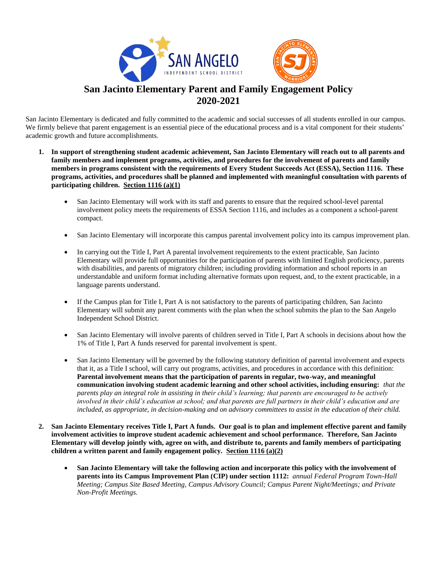

San Jacinto Elementary is dedicated and fully committed to the academic and social successes of all students enrolled in our campus. We firmly believe that parent engagement is an essential piece of the educational process and is a vital component for their students' academic growth and future accomplishments.

- **1. In support of strengthening student academic achievement, San Jacinto Elementary will reach out to all parents and family members and implement programs, activities, and procedures for the involvement of parents and family members in programs consistent with the requirements of Every Student Succeeds Act (ESSA), Section 1116. These programs, activities, and procedures shall be planned and implemented with meaningful consultation with parents of participating children. Section 1116 (a)(1)**
	- San Jacinto Elementary will work with its staff and parents to ensure that the required school-level parental involvement policy meets the requirements of ESSA Section 1116, and includes as a component a school-parent compact.
	- San Jacinto Elementary will incorporate this campus parental involvement policy into its campus improvement plan.
	- In carrying out the Title I, Part A parental involvement requirements to the extent practicable, San Jacinto Elementary will provide full opportunities for the participation of parents with limited English proficiency, parents with disabilities, and parents of migratory children; including providing information and school reports in an understandable and uniform format including alternative formats upon request, and, to the extent practicable, in a language parents understand.
	- If the Campus plan for Title I, Part A is not satisfactory to the parents of participating children, San Jacinto Elementary will submit any parent comments with the plan when the school submits the plan to the San Angelo Independent School District.
	- San Jacinto Elementary will involve parents of children served in Title I, Part A schools in decisions about how the 1% of Title I, Part A funds reserved for parental involvement is spent.
	- San Jacinto Elementary will be governed by the following statutory definition of parental involvement and expects that it, as a Title I school, will carry out programs, activities, and procedures in accordance with this definition: **Parental involvement means that the participation of parents in regular, two-way, and meaningful communication involving student academic learning and other school activities, including ensuring:** *that the parents play an integral role in assisting in their child's learning; that parents are encouraged to be actively involved in their child's education at school; and that parents are full partners in their child's education and are included, as appropriate, in decision-making and on advisory committees to assist in the education of their child.*
- **2. San Jacinto Elementary receives Title I, Part A funds. Our goal is to plan and implement effective parent and family involvement activities to improve student academic achievement and school performance. Therefore, San Jacinto Elementary will develop jointly with, agree on with, and distribute to, parents and family members of participating children a written parent and family engagement policy. Section 1116 (a)(2)**
	- **San Jacinto Elementary will take the following action and incorporate this policy with the involvement of parents into its Campus Improvement Plan (CIP) under section 1112:** *annual Federal Program Town-Hall Meeting; Campus Site Based Meeting, Campus Advisory Council; Campus Parent Night/Meetings; and Private Non-Profit Meetings.*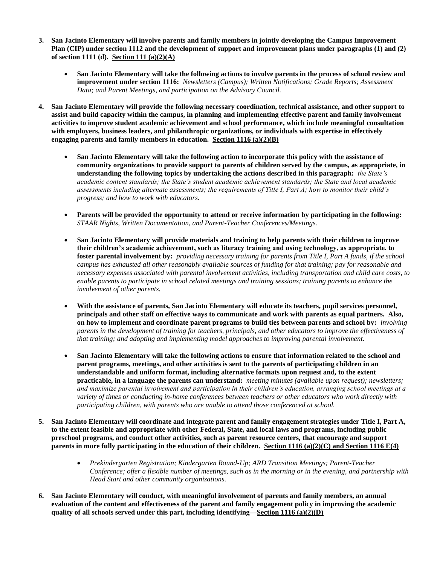- **3. San Jacinto Elementary will involve parents and family members in jointly developing the Campus Improvement Plan (CIP) under section 1112 and the development of support and improvement plans under paragraphs (1) and (2) of section 1111 (d). Section 111 (a)(2)(A)**
	- **San Jacinto Elementary will take the following actions to involve parents in the process of school review and improvement under section 1116:** *Newsletters (Campus); Written Notifications; Grade Reports; Assessment Data; and Parent Meetings, and participation on the Advisory Council.*
- **4. San Jacinto Elementary will provide the following necessary coordination, technical assistance, and other support to assist and build capacity within the campus, in planning and implementing effective parent and family involvement activities to improve student academic achievement and school performance, which include meaningful consultation with employers, business leaders, and philanthropic organizations, or individuals with expertise in effectively engaging parents and family members in education. Section 1116 (a)(2)(B)**
	- **San Jacinto Elementary will take the following action to incorporate this policy with the assistance of community organizations to provide support to parents of children served by the campus, as appropriate, in understanding the following topics by undertaking the actions described in this paragraph:** *the State's academic content standards; the State's student academic achievement standards; the State and local academic assessments including alternate assessments; the requirements of Title I, Part A; how to monitor their child's progress; and how to work with educators.*
	- **Parents will be provided the opportunity to attend or receive information by participating in the following:** *STAAR Nights, Written Documentation, and Parent-Teacher Conferences/Meetings.*
	- **San Jacinto Elementary will provide materials and training to help parents with their children to improve their children's academic achievement, such as literacy training and using technology, as appropriate, to foster parental involvement by:** *providing necessary training for parents from Title I, Part A funds, if the school campus has exhausted all other reasonably available sources of funding for that training; pay for reasonable and necessary expenses associated with parental involvement activities, including transportation and child care costs, to enable parents to participate in school related meetings and training sessions; training parents to enhance the involvement of other parents.*
	- **With the assistance of parents, San Jacinto Elementary will educate its teachers, pupil services personnel, principals and other staff on effective ways to communicate and work with parents as equal partners. Also, on how to implement and coordinate parent programs to build ties between parents and school by:** *involving parents in the development of training for teachers, principals, and other educators to improve the effectiveness of that training; and adopting and implementing model approaches to improving parental involvement.*
	- **San Jacinto Elementary will take the following actions to ensure that information related to the school and parent programs, meetings, and other activities is sent to the parents of participating children in an understandable and uniform format, including alternative formats upon request and, to the extent practicable, in a language the parents can understand:** *meeting minutes (available upon request); newsletters; and maximize parental involvement and participation in their children's education, arranging school meetings at a variety of times or conducting in-home conferences between teachers or other educators who work directly with participating children, with parents who are unable to attend those conferenced at school.*
- **5. San Jacinto Elementary will coordinate and integrate parent and family engagement strategies under Title I, Part A, to the extent feasible and appropriate with other Federal, State, and local laws and programs, including public preschool programs, and conduct other activities, such as parent resource centers, that encourage and support parents in more fully participating in the education of their children. Section 1116 (a)(2)(C) and Section 1116 E(4)**
	- *Prekindergarten Registration; Kindergarten Round-Up; ARD Transition Meetings; Parent-Teacher Conference; offer a flexible number of meetings, such as in the morning or in the evening, and partnership with Head Start and other community organizations.*
- **6. San Jacinto Elementary will conduct, with meaningful involvement of parents and family members, an annual evaluation of the content and effectiveness of the parent and family engagement policy in improving the academic quality of all schools served under this part, including identifying—Section 1116 (a)(2)(D)**